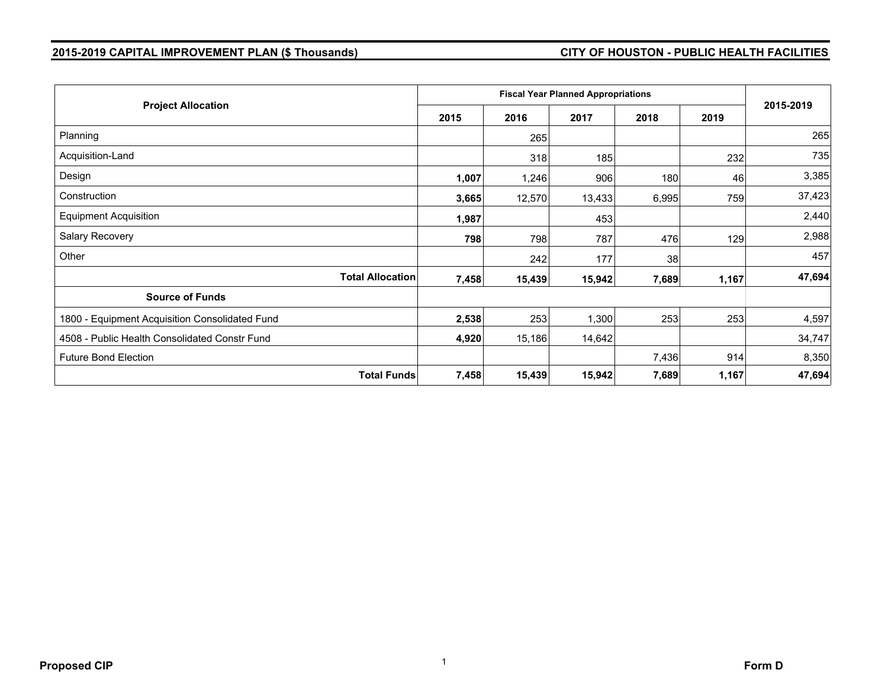## **2015-2019 CAPITAL IMPROVEMENT PLAN (\$ Thousands) CITY OF HOUSTON - PUBLIC HEALTH FACILITIES**

| <b>Project Allocation</b>                      | 2015  | 2016   | 2017   | 2018  | 2019  | 2015-2019 |
|------------------------------------------------|-------|--------|--------|-------|-------|-----------|
| Planning                                       |       | 265    |        |       |       | 265       |
| Acquisition-Land                               |       | 318    | 185    |       | 232   | 735       |
| Design                                         | 1,007 | 1,246  | 906    | 180   | 46    | 3,385     |
| Construction                                   | 3,665 | 12,570 | 13,433 | 6,995 | 759   | 37,423    |
| <b>Equipment Acquisition</b>                   | 1,987 |        | 453    |       |       | 2,440     |
| Salary Recovery                                | 798   | 798    | 787    | 476   | 129   | 2,988     |
| Other                                          |       | 242    | 177    | 38    |       | 457       |
| <b>Total Allocation</b>                        | 7,458 | 15,439 | 15,942 | 7,689 | 1,167 | 47,694    |
| <b>Source of Funds</b>                         |       |        |        |       |       |           |
| 1800 - Equipment Acquisition Consolidated Fund | 2,538 | 253    | 1,300  | 253   | 253   | 4,597     |
| 4508 - Public Health Consolidated Constr Fund  | 4,920 | 15,186 | 14,642 |       |       | 34,747    |
| <b>Future Bond Election</b>                    |       |        |        | 7,436 | 914   | 8,350     |
| <b>Total Funds</b>                             | 7,458 | 15,439 | 15,942 | 7,689 | 1,167 | 47,694    |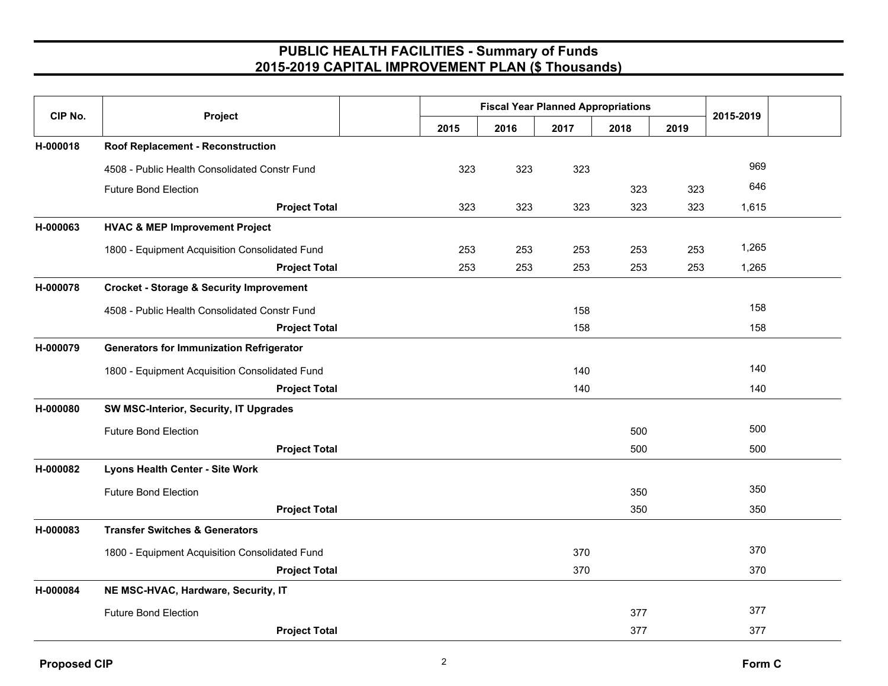| CIP No.  | Project                                             | <b>Fiscal Year Planned Appropriations</b> |      |      |      |      |           |  |
|----------|-----------------------------------------------------|-------------------------------------------|------|------|------|------|-----------|--|
|          |                                                     | 2015                                      | 2016 | 2017 | 2018 | 2019 | 2015-2019 |  |
| H-000018 | <b>Roof Replacement - Reconstruction</b>            |                                           |      |      |      |      |           |  |
|          | 4508 - Public Health Consolidated Constr Fund       | 323                                       | 323  | 323  |      |      | 969       |  |
|          | <b>Future Bond Election</b>                         |                                           |      |      | 323  | 323  | 646       |  |
|          | <b>Project Total</b>                                | 323                                       | 323  | 323  | 323  | 323  | 1,615     |  |
| H-000063 | <b>HVAC &amp; MEP Improvement Project</b>           |                                           |      |      |      |      |           |  |
|          | 1800 - Equipment Acquisition Consolidated Fund      | 253                                       | 253  | 253  | 253  | 253  | 1,265     |  |
|          | <b>Project Total</b>                                | 253                                       | 253  | 253  | 253  | 253  | 1,265     |  |
| H-000078 | <b>Crocket - Storage &amp; Security Improvement</b> |                                           |      |      |      |      |           |  |
|          | 4508 - Public Health Consolidated Constr Fund       |                                           |      | 158  |      |      | 158       |  |
|          | <b>Project Total</b>                                |                                           |      | 158  |      |      | 158       |  |
| H-000079 | <b>Generators for Immunization Refrigerator</b>     |                                           |      |      |      |      |           |  |
|          | 1800 - Equipment Acquisition Consolidated Fund      |                                           |      | 140  |      |      | 140       |  |
|          | <b>Project Total</b>                                |                                           |      | 140  |      |      | 140       |  |
| H-000080 | SW MSC-Interior, Security, IT Upgrades              |                                           |      |      |      |      |           |  |
|          | <b>Future Bond Election</b>                         |                                           |      |      | 500  |      | 500       |  |
|          | <b>Project Total</b>                                |                                           |      |      | 500  |      | 500       |  |
| H-000082 | <b>Lyons Health Center - Site Work</b>              |                                           |      |      |      |      |           |  |
|          | <b>Future Bond Election</b>                         |                                           |      |      | 350  |      | 350       |  |
|          | <b>Project Total</b>                                |                                           |      |      | 350  |      | 350       |  |
| H-000083 | <b>Transfer Switches &amp; Generators</b>           |                                           |      |      |      |      |           |  |
|          | 1800 - Equipment Acquisition Consolidated Fund      |                                           |      | 370  |      |      | 370       |  |
|          | <b>Project Total</b>                                |                                           |      | 370  |      |      | 370       |  |
| H-000084 | NE MSC-HVAC, Hardware, Security, IT                 |                                           |      |      |      |      |           |  |
|          | <b>Future Bond Election</b>                         |                                           |      |      | 377  |      | 377       |  |
|          | <b>Project Total</b>                                |                                           |      |      | 377  |      | 377       |  |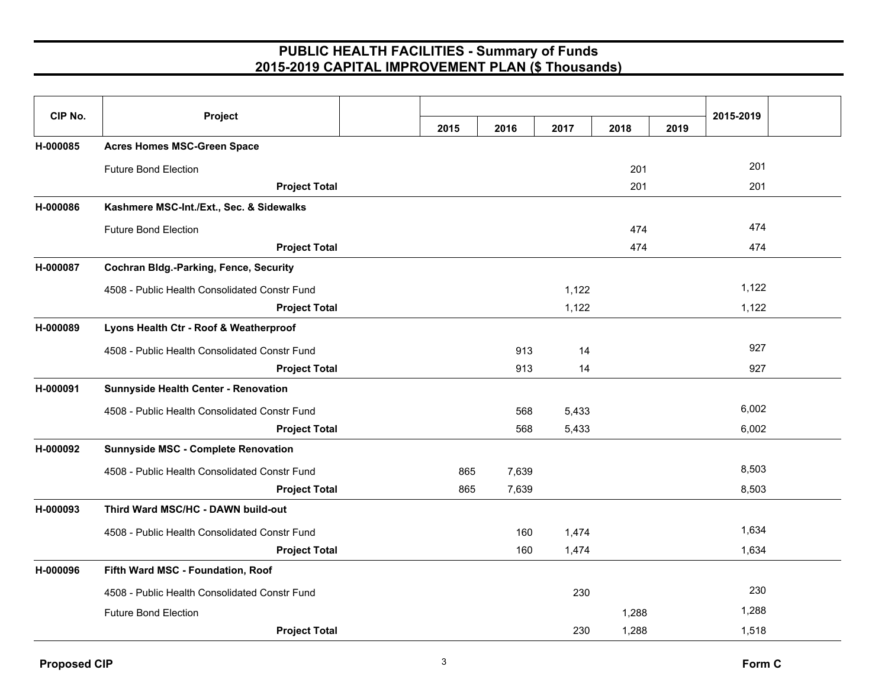| CIP No.  | Project                                       |      |       |       |       |      | 2015-2019 |  |
|----------|-----------------------------------------------|------|-------|-------|-------|------|-----------|--|
|          |                                               | 2015 | 2016  | 2017  | 2018  | 2019 |           |  |
| H-000085 | <b>Acres Homes MSC-Green Space</b>            |      |       |       |       |      |           |  |
|          | <b>Future Bond Election</b>                   |      |       |       | 201   |      | 201       |  |
|          | <b>Project Total</b>                          |      |       |       | 201   |      | 201       |  |
| H-000086 | Kashmere MSC-Int./Ext., Sec. & Sidewalks      |      |       |       |       |      |           |  |
|          | <b>Future Bond Election</b>                   |      |       |       | 474   |      | 474       |  |
|          | <b>Project Total</b>                          |      |       |       | 474   |      | 474       |  |
| H-000087 | <b>Cochran Bldg.-Parking, Fence, Security</b> |      |       |       |       |      |           |  |
|          | 4508 - Public Health Consolidated Constr Fund |      |       | 1,122 |       |      | 1,122     |  |
|          | <b>Project Total</b>                          |      |       | 1,122 |       |      | 1,122     |  |
| H-000089 | Lyons Health Ctr - Roof & Weatherproof        |      |       |       |       |      |           |  |
|          | 4508 - Public Health Consolidated Constr Fund |      | 913   | 14    |       |      | 927       |  |
|          | <b>Project Total</b>                          |      | 913   | 14    |       |      | 927       |  |
| H-000091 | Sunnyside Health Center - Renovation          |      |       |       |       |      |           |  |
|          | 4508 - Public Health Consolidated Constr Fund |      | 568   | 5,433 |       |      | 6,002     |  |
|          | <b>Project Total</b>                          |      | 568   | 5,433 |       |      | 6,002     |  |
| H-000092 | Sunnyside MSC - Complete Renovation           |      |       |       |       |      |           |  |
|          | 4508 - Public Health Consolidated Constr Fund | 865  | 7,639 |       |       |      | 8,503     |  |
|          | <b>Project Total</b>                          | 865  | 7,639 |       |       |      | 8,503     |  |
| H-000093 | Third Ward MSC/HC - DAWN build-out            |      |       |       |       |      |           |  |
|          | 4508 - Public Health Consolidated Constr Fund |      | 160   | 1,474 |       |      | 1,634     |  |
|          | <b>Project Total</b>                          |      | 160   | 1,474 |       |      | 1,634     |  |
| H-000096 | Fifth Ward MSC - Foundation, Roof             |      |       |       |       |      |           |  |
|          | 4508 - Public Health Consolidated Constr Fund |      |       | 230   |       |      | 230       |  |
|          | <b>Future Bond Election</b>                   |      |       |       | 1,288 |      | 1,288     |  |
|          | <b>Project Total</b>                          |      |       | 230   | 1,288 |      | 1,518     |  |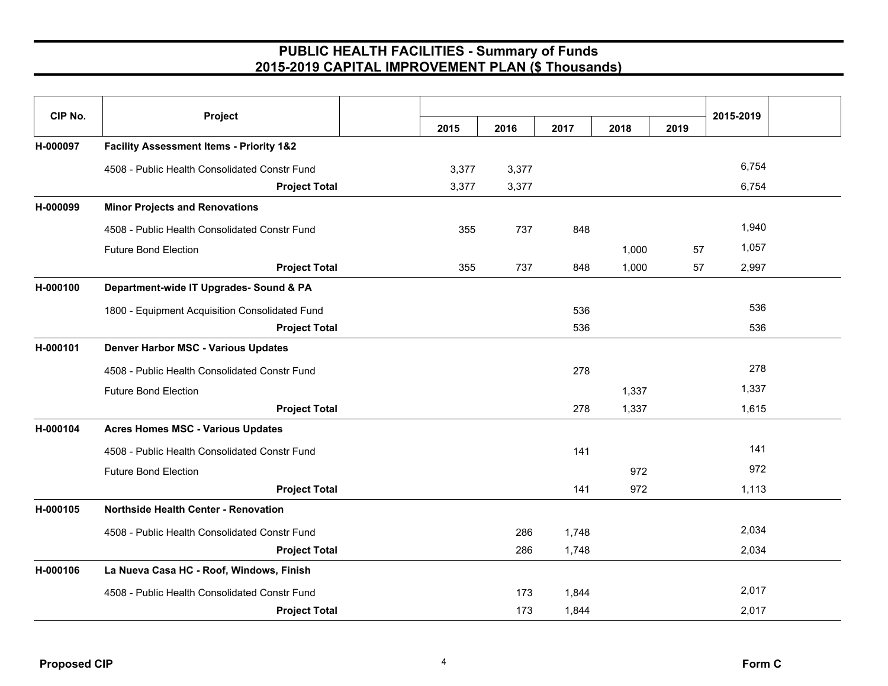|          | Project                                             |       |       |       |       |      |           |  |
|----------|-----------------------------------------------------|-------|-------|-------|-------|------|-----------|--|
| CIP No.  |                                                     | 2015  | 2016  | 2017  | 2018  | 2019 | 2015-2019 |  |
| H-000097 | <b>Facility Assessment Items - Priority 1&amp;2</b> |       |       |       |       |      |           |  |
|          | 4508 - Public Health Consolidated Constr Fund       | 3,377 | 3,377 |       |       |      | 6,754     |  |
|          | <b>Project Total</b>                                | 3,377 | 3,377 |       |       |      | 6,754     |  |
| H-000099 | <b>Minor Projects and Renovations</b>               |       |       |       |       |      |           |  |
|          | 4508 - Public Health Consolidated Constr Fund       | 355   | 737   | 848   |       |      | 1,940     |  |
|          | <b>Future Bond Election</b>                         |       |       |       | 1,000 | 57   | 1,057     |  |
|          | <b>Project Total</b>                                | 355   | 737   | 848   | 1,000 | 57   | 2,997     |  |
| H-000100 | Department-wide IT Upgrades- Sound & PA             |       |       |       |       |      |           |  |
|          | 1800 - Equipment Acquisition Consolidated Fund      |       |       | 536   |       |      | 536       |  |
|          | <b>Project Total</b>                                |       |       | 536   |       |      | 536       |  |
| H-000101 | <b>Denver Harbor MSC - Various Updates</b>          |       |       |       |       |      |           |  |
|          | 4508 - Public Health Consolidated Constr Fund       |       |       | 278   |       |      | 278       |  |
|          | <b>Future Bond Election</b>                         |       |       |       | 1,337 |      | 1,337     |  |
|          | <b>Project Total</b>                                |       |       | 278   | 1,337 |      | 1,615     |  |
| H-000104 | <b>Acres Homes MSC - Various Updates</b>            |       |       |       |       |      |           |  |
|          | 4508 - Public Health Consolidated Constr Fund       |       |       | 141   |       |      | 141       |  |
|          | <b>Future Bond Election</b>                         |       |       |       | 972   |      | 972       |  |
|          | <b>Project Total</b>                                |       |       | 141   | 972   |      | 1,113     |  |
| H-000105 | <b>Northside Health Center - Renovation</b>         |       |       |       |       |      |           |  |
|          | 4508 - Public Health Consolidated Constr Fund       |       | 286   | 1,748 |       |      | 2,034     |  |
|          | <b>Project Total</b>                                |       | 286   | 1,748 |       |      | 2,034     |  |
| H-000106 | La Nueva Casa HC - Roof, Windows, Finish            |       |       |       |       |      |           |  |
|          | 4508 - Public Health Consolidated Constr Fund       |       | 173   | 1,844 |       |      | 2,017     |  |
|          | <b>Project Total</b>                                |       | 173   | 1,844 |       |      | 2,017     |  |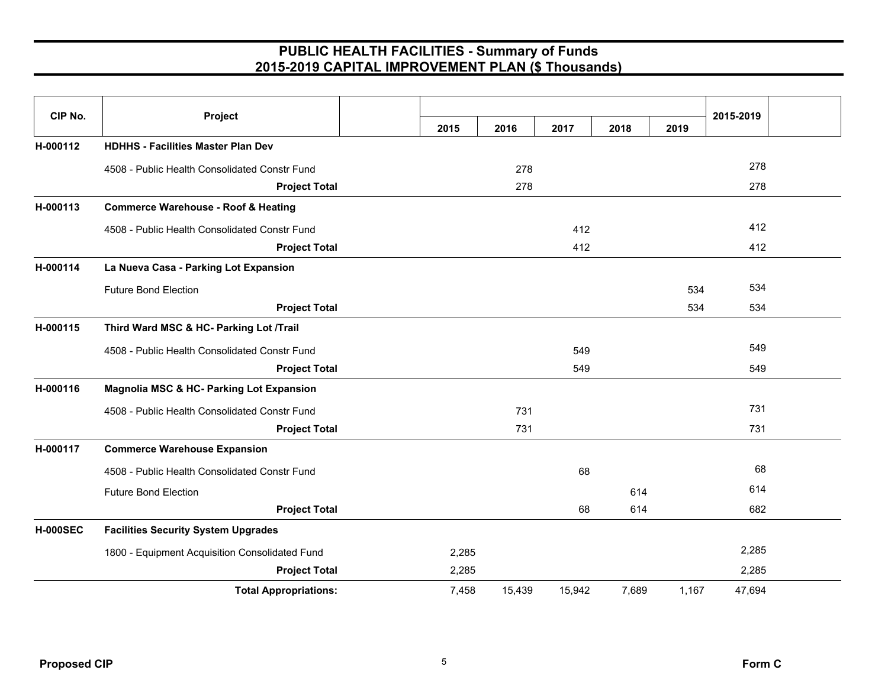| CIP No.         | Project                                             |       |        |        |       |       | 2015-2019 |  |
|-----------------|-----------------------------------------------------|-------|--------|--------|-------|-------|-----------|--|
|                 |                                                     | 2015  | 2016   | 2017   | 2018  | 2019  |           |  |
| H-000112        | <b>HDHHS - Facilities Master Plan Dev</b>           |       |        |        |       |       |           |  |
|                 | 4508 - Public Health Consolidated Constr Fund       |       | 278    |        |       |       | 278       |  |
|                 | <b>Project Total</b>                                |       | 278    |        |       |       | 278       |  |
| H-000113        | <b>Commerce Warehouse - Roof &amp; Heating</b>      |       |        |        |       |       |           |  |
|                 | 4508 - Public Health Consolidated Constr Fund       |       |        | 412    |       |       | 412       |  |
|                 | <b>Project Total</b>                                |       |        | 412    |       |       | 412       |  |
| H-000114        | La Nueva Casa - Parking Lot Expansion               |       |        |        |       |       |           |  |
|                 | <b>Future Bond Election</b>                         |       |        |        |       | 534   | 534       |  |
|                 | <b>Project Total</b>                                |       |        |        |       | 534   | 534       |  |
| H-000115        | Third Ward MSC & HC- Parking Lot /Trail             |       |        |        |       |       |           |  |
|                 | 4508 - Public Health Consolidated Constr Fund       |       |        | 549    |       |       | 549       |  |
|                 | <b>Project Total</b>                                |       |        | 549    |       |       | 549       |  |
| H-000116        | <b>Magnolia MSC &amp; HC- Parking Lot Expansion</b> |       |        |        |       |       |           |  |
|                 | 4508 - Public Health Consolidated Constr Fund       |       | 731    |        |       |       | 731       |  |
|                 | <b>Project Total</b>                                |       | 731    |        |       |       | 731       |  |
| H-000117        | <b>Commerce Warehouse Expansion</b>                 |       |        |        |       |       |           |  |
|                 | 4508 - Public Health Consolidated Constr Fund       |       |        | 68     |       |       | 68        |  |
|                 | <b>Future Bond Election</b>                         |       |        |        | 614   |       | 614       |  |
|                 | <b>Project Total</b>                                |       |        | 68     | 614   |       | 682       |  |
| <b>H-000SEC</b> | <b>Facilities Security System Upgrades</b>          |       |        |        |       |       |           |  |
|                 | 1800 - Equipment Acquisition Consolidated Fund      | 2,285 |        |        |       |       | 2,285     |  |
|                 | <b>Project Total</b>                                | 2,285 |        |        |       |       | 2,285     |  |
|                 | <b>Total Appropriations:</b>                        | 7,458 | 15,439 | 15,942 | 7,689 | 1,167 | 47,694    |  |